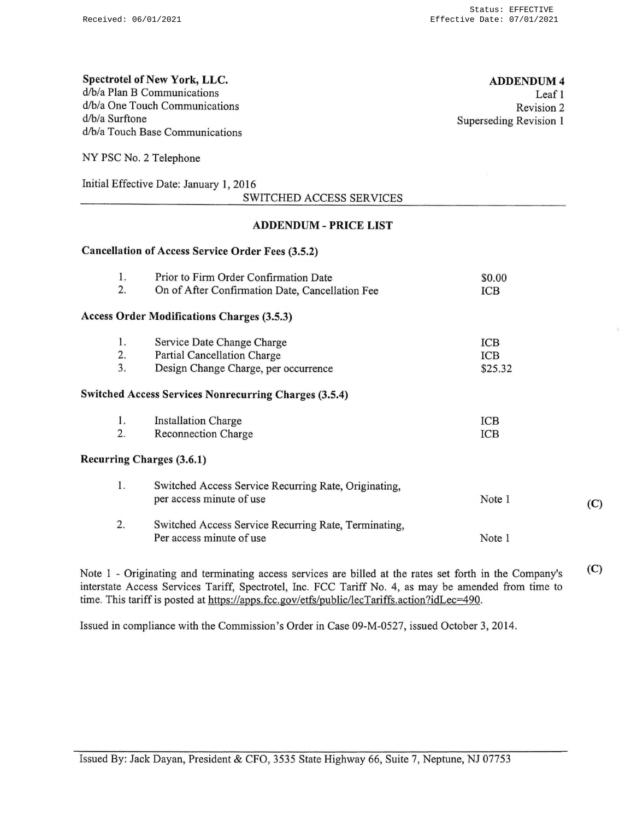### Spectrotel of New York, LLC. d/b/a Plan B Communications d/b/a One Touch Communications d/b/a Surftone d/b/a Touch Base Communications

ADDENDUM4 Leaf I

Revision 2 Superseding Revision I

NY PSC No. 2 Telephone

Initial Effective Date: January I, 2016

| SWITCHED ACCESS SERVICES |  |
|--------------------------|--|
|                          |  |

## ADDENDUM- PRICE LIST

#### Cancellation of Access Service Order Fees (3.5.2)

| 1.             | Prior to Firm Order Confirmation Date                                                                    | \$0.00                |     |
|----------------|----------------------------------------------------------------------------------------------------------|-----------------------|-----|
| 2.             | On of After Confirmation Date, Cancellation Fee                                                          | ICB                   |     |
|                | <b>Access Order Modifications Charges (3.5.3)</b>                                                        |                       |     |
| 1.<br>2.<br>3. | Service Date Change Charge<br><b>Partial Cancellation Charge</b><br>Design Change Charge, per occurrence | ICB<br>ICB<br>\$25.32 |     |
|                | <b>Switched Access Services Nonrecurring Charges (3.5.4)</b>                                             |                       |     |
| 1.<br>2.       | <b>Installation Charge</b><br><b>Reconnection Charge</b>                                                 | <b>ICB</b><br>ICB     |     |
|                | <b>Recurring Charges (3.6.1)</b>                                                                         |                       |     |
| 1.             | Switched Access Service Recurring Rate, Originating,<br>per access minute of use                         | Note 1                | (C) |
| 2.             | Switched Access Service Recurring Rate, Terminating,<br>Per access minute of use                         | Note 1                |     |
|                |                                                                                                          |                       |     |

Note I - Originating and terminating access services are billed at the rates set forth in the Company's interstate Access Services Tariff, Spectrotel, Inc. FCC Tariff No. 4, as may be amended from time to time. This tariff is posted at https://apps.fcc.gov/etfs/public/lecTariffs.action?idLec=490. (C)

Issued in compliance with the Commission's Order in Case 09-M-0527, issued October 3, 2014.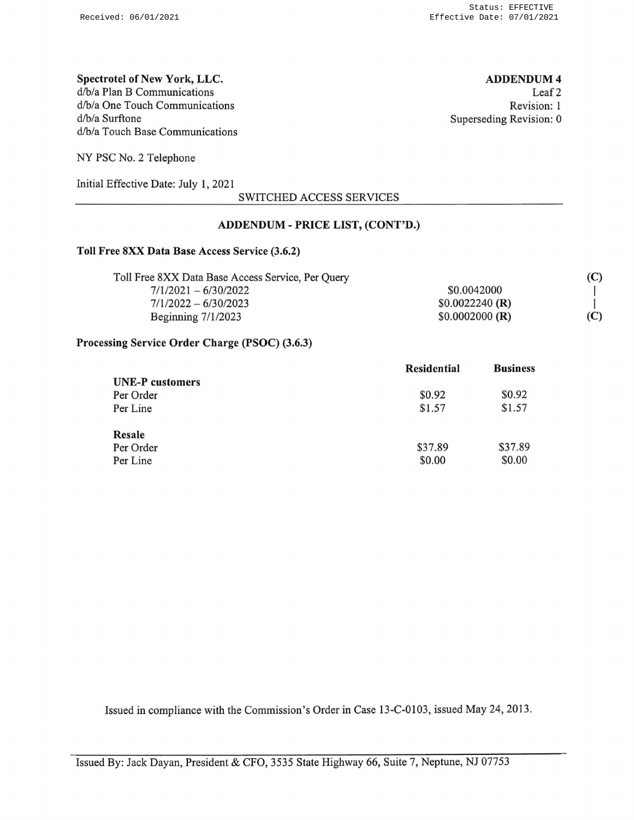## Spectrotel of New York, LLC. d/b/a Plan B Communications d/b/a One Touch Communications d/b/a Surftone d/b/a Touch Base Communications

ADDENDUM4 Leaf<sub>2</sub> Revision: 1 Superseding Revision: 0

NY PSC No. 2 Telephone

Initial Effective Date: July 1, 2021

SWITCHED ACCESS SERVICES

## ADDENDUM- PRICE LIST, (CONT'D.)

#### Toll Free 8XX Data Base Access Service (3.6.2)

| Toll Free 8XX Data Base Access Service, Per Query |                  | (C) |
|---------------------------------------------------|------------------|-----|
| $7/1/2021 - 6/30/2022$                            | \$0.0042000      |     |
| $7/1/2022 - 6/30/2023$                            | $$0.0022240$ (R) |     |
| Beginning $7/1/2023$                              | $$0.0002000$ (R) | (C) |

#### Processing Service Order Charge (PSOC) (3.6.3)

|                                     | <b>Residential</b> | <b>Business</b>   |
|-------------------------------------|--------------------|-------------------|
| <b>UNE-P</b> customers<br>Per Order | \$0.92             | \$0.92            |
| Per Line                            | \$1.57             | \$1.57            |
| Resale<br>Per Order<br>Per Line     | \$37.89<br>\$0.00  | \$37.89<br>\$0.00 |

Issued in compliance with the Commission's Order in Case 13-C-0103, issued May 24, 2013.